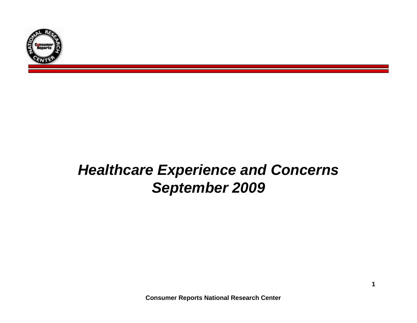

# *Healthcare Experience and Concerns September 2009*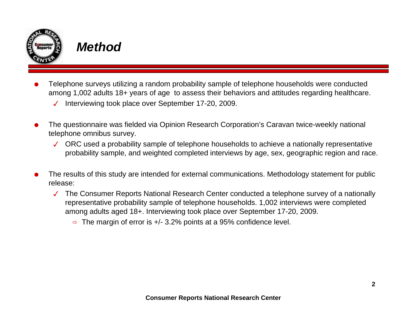

### *Method*

- O Telephone surveys utilizing a random probability sample of telephone households were conducted among 1,002 adults 18+ years of age to assess their behaviors and attitudes regarding healthcare.
	- $\checkmark$ Interviewing took place over September 17-20, 2009.
- O The questionnaire was fielded via Opinion Research Corporation's Caravan twice-weekly national telephone omnibus survey.
	- $\checkmark$  ORC used a probability sample of telephone households to achieve a nationally representative probability sample, and weighted completed interviews by age, sex, geographic region and race.
- O The results of this study are intended for external communications. Methodology statement for public release:
	- The Consumer Reports National Research Center conducted a telephone survey of a nationally representative probability sample of telephone households. 1,002 interviews were completed among adults aged 18+. Interviewing took place over September 17-20, 2009.
		- $\Rightarrow$  The margin of error is +/- 3.2% points at a 95% confidence level.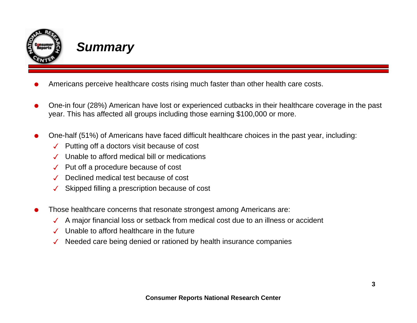

### *Summary*

- OAmericans perceive healthcare costs rising much faster than other health care costs.
- O One-in four (28%) American have lost or experienced cutbacks in their healthcare coverage in the past year. This has affected all groups including those earning \$100,000 or more.
- O One-half (51%) of Americans have faced difficult healthcare choices in the past year, including:
	- $\checkmark$ Putting off a doctors visit because of cost
	- $\checkmark$ Unable to afford medical bill or medications
	- $\checkmark$ Put off a procedure because of cost
	- $\checkmark$ Declined medical test because of cost
	- $\checkmark$ Skipped filling a prescription because of cost
- O Those healthcare concerns that resonate strongest among Americans are:
	- $\checkmark$ A major financial loss or setback from medical cost due to an illness or accident
	- $\checkmark$ Unable to afford healthcare in the future
	- $\checkmark$ Needed care being denied or rationed by health insurance companies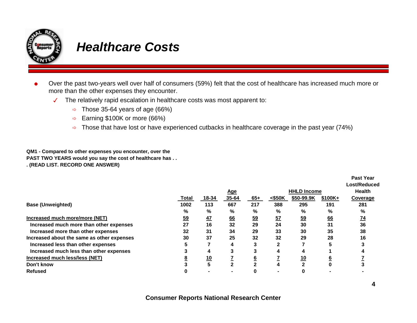

### *Healthcare Costs*

- O Over the past two-years well over half of consumers (59%) felt that the cost of healthcare has increased much more or more than the other expenses they encounter.
	- $\overline{J}$  The relatively rapid escalation in healthcare costs was most apparent to:
		- $\Rightarrow$  Those 35-64 years of age (66%)
		- $\Rightarrow$ Earning \$100K or more (66%)
		- $\Rightarrow$  Those that have lost or have experienced cutbacks in healthcare coverage in the past year (74%)

**QM1 - Compared to other expenses you encounter, over the PAST TWO YEARS would you say the cost of healthcare has . . . (READ LIST. RECORD ONE ANSWER)**

|                                            |                |                |       |                  |             |                    |               | <b>Past Year</b> |
|--------------------------------------------|----------------|----------------|-------|------------------|-------------|--------------------|---------------|------------------|
|                                            |                |                |       |                  |             |                    |               | Lost/Reduced     |
|                                            |                | <u>Age</u>     |       |                  |             | <b>HHLD Income</b> | <b>Health</b> |                  |
|                                            | Total          | 18-34          | 35-64 | $65+$            | < \$50K     | \$50-99.9K         | $$100K +$     | Coverage         |
| <b>Base (Unweighted)</b>                   | 1002           | 113            | 667   | 217              | 388         | 295                | 191           | 281              |
|                                            | %              | %              | %     | %                | %           | %                  | %             | %                |
| Increased much more/more (NET)             | $\frac{59}{5}$ | 47             | 66    | $\underline{59}$ | 57          | $\underline{59}$   | 66            | $\overline{14}$  |
| Increased much more than other expenses    | 27             | 16             | 32    | 29               | 24          | 30                 | 31            | 36               |
| Increased more than other expenses         | 32             | 31             | 34    | 29               | 33          | 30                 | 35            | 38               |
| Increased about the same as other expenses | 30             | 37             | 25    | 32               | 32          | 29                 | 28            | 16               |
| Increased less than other expenses         |                |                | 4     | 3                | $\mathbf 2$ |                    | 5             |                  |
| Increased much less than other expenses    |                | 4              | 3     |                  | 4           | 4                  |               |                  |
| Increased much less/less (NET)             |                | $\frac{10}{5}$ |       |                  |             | <u>10</u>          | 6             |                  |
| Don't know                                 |                |                |       |                  |             | C                  | 0             |                  |
| <b>Refused</b>                             |                |                |       |                  |             | 0                  |               |                  |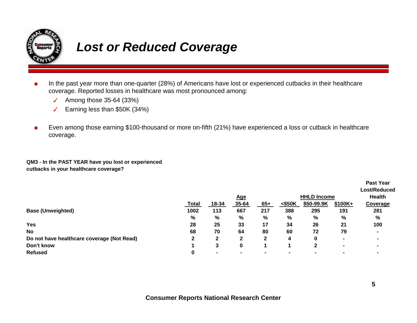

## *Lost or Reduced Coverage*

- OIn the past year more than one-quarter (28%) of Americans have lost or experienced cutbacks in their healthcare coverage. Reported losses in healthcare was most pronounced among:
	- $\overline{\mathcal{L}}$ Among those 35-64 (33%)
	- $\sqrt{2}$ Earning less than \$50K (34%)
- O Even among those earning \$100-thousand or more on-fifth (21%) have experienced a loss or cutback in healthcare coverage.

**QM3 - In the PAST YEAR have you lost or experienced cutbacks in your healthcare coverage?**

|                                            |              |        |              |                |                |                    |                          | <b>Past Year</b> |  |
|--------------------------------------------|--------------|--------|--------------|----------------|----------------|--------------------|--------------------------|------------------|--|
|                                            |              |        |              |                |                |                    |                          | Lost/Reduced     |  |
|                                            | <u>Age</u>   |        |              |                |                | <b>HHLD Income</b> |                          |                  |  |
|                                            | <b>Total</b> | 18-34  | 35-64        | $65+$          | $<$ \$50K      | \$50-99.9K         | \$100K+                  | <b>Coverage</b>  |  |
| <b>Base (Unweighted)</b>                   | 1002         | 113    | 667          | 217            | 388            | 295                | 191                      | 281              |  |
|                                            | %            | $\%$   | %            | %              | %              | %                  | %                        | %                |  |
| <b>Yes</b>                                 | 28           | 25     | 33           | 17             | 34             | 26                 | 21                       | 100              |  |
| <b>No</b>                                  | 68           | 70     | 64           | 80             | 60             | 72                 | 79                       |                  |  |
| Do not have healthcare coverage (Not Read) | $\mathbf{2}$ | 2      | $\mathbf{2}$ | 2              | 4              | 0                  | $\overline{\phantom{a}}$ | $\blacksquare$   |  |
| Don't know                                 |              | 3      | 0            |                |                | 2                  | $\blacksquare$           |                  |  |
| <b>Refused</b>                             | 0            | $\sim$ | . .          | $\blacksquare$ | $\blacksquare$ |                    | $\blacksquare$           |                  |  |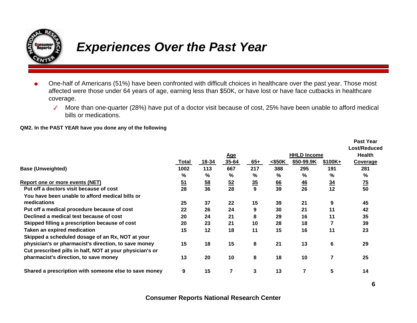

## *Experiences Over the Past Year*

- O One-half of Americans (51%) have been confronted with difficult choices in healthcare over the past year. Those most affected were those under 64 years of age, earning less than \$50K, or have lost or have face cutbacks in healthcare coverage.
	- $\overline{J}$  More than one-quarter (28%) have put of a doctor visit because of cost, 25% have been unable to afford medical bills or medications.

#### **QM2. In the PAST YEAR have you done any of the following**

|                                                          |       |           |                |                |        |                    |                  | <b>Past Year</b> |
|----------------------------------------------------------|-------|-----------|----------------|----------------|--------|--------------------|------------------|------------------|
|                                                          |       |           |                |                |        |                    |                  | Lost/Reduced     |
|                                                          |       |           | <u>Age</u>     |                |        | <b>HHLD Income</b> |                  | <b>Health</b>    |
|                                                          | Total | 18-34     | $35 - 64$      | $65+$          | <\$50K | \$50-99.9K         | $$100K +$        | <b>Coverage</b>  |
| <b>Base (Unweighted)</b>                                 | 1002  | 113       | 667            | 217            | 388    | 295                | 191              | 281              |
|                                                          | %     | %         | %              | %              | %      | ℅                  | %                | %                |
| Report one or more events (NET)                          | $51$  | <u>58</u> | $\frac{52}{5}$ | $\frac{35}{5}$ | 66     | $\frac{46}{1}$     | $\underline{34}$ | $\overline{25}$  |
| Put off a doctors visit because of cost                  | 28    | 36        | 28             | 9              | 39     | 26                 | 12               | 50               |
| You have been unable to afford medical bills or          |       |           |                |                |        |                    |                  |                  |
| medications                                              | 25    | 37        | 22             | 15             | 39     | 21                 | 9                | 45               |
| Put off a medical procedure because of cost              | 22    | 26        | 24             | 9              | 30     | 21                 | 11               | 42               |
| Declined a medical test because of cost                  | 20    | 24        | 21             | 8              | 29     | 16                 | 11               | 35               |
| Skipped filling a prescription because of cost           | 20    | 23        | 21             | 10             | 28     | 18                 |                  | 39               |
| <b>Taken an expired medication</b>                       | 15    | 12        | 18             | 11             | 15     | 16                 | 11               | 23               |
| Skipped a scheduled dosage of an Rx, NOT at your         |       |           |                |                |        |                    |                  |                  |
| physician's or pharmacist's direction, to save money     | 15    | 18        | 15             | 8              | 21     | 13                 | 6                | 29               |
| Cut prescribed pills in half, NOT at your physician's or |       |           |                |                |        |                    |                  |                  |
| pharmacist's direction, to save money                    | 13    | 20        | 10             | 8              | 18     | 10                 |                  | 25               |
| Shared a prescription with someone else to save money    | 9     | 15        | 7              | 3              | 13     |                    | 5                | 14               |

#### **Consumer Reports National Research Center**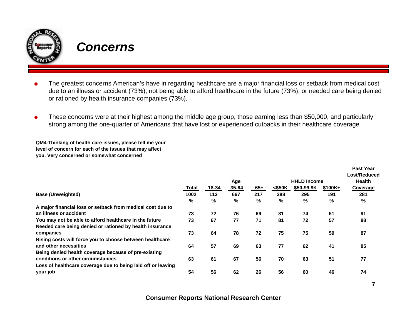

### *Concerns*

- O The greatest concerns American's have in regarding healthcare are a major financial loss or setback from medical cost due to an illness or accident (73%), not being able to afford healthcare in the future (73%), or needed care being denied or rationed by health insurance companies (73%).
- O These concerns were at their highest among the middle age group, those earning less than \$50,000, and particularly strong among the one-quarter of Americans that have lost or experienced cutbacks in their healthcare coverage

**QM4-Thinking of health care issues, please tell me your level of concern for each of the issues that may affect you. Very concerned or somewhat concerned**

|                                                              |       |            |       |       |        |                    |               | .               |
|--------------------------------------------------------------|-------|------------|-------|-------|--------|--------------------|---------------|-----------------|
|                                                              |       |            |       |       |        |                    |               | Lost/Reduced    |
|                                                              |       | <u>Age</u> |       |       |        | <b>HHLD Income</b> | <b>Health</b> |                 |
|                                                              | Total | 18-34      | 35-64 | $65+$ | <\$50K | \$50-99.9K         | $$100K +$     | <b>Coverage</b> |
| <b>Base (Unweighted)</b>                                     | 1002  | 113        | 667   | 217   | 388    | 295                | 191           | 281             |
|                                                              | %     | $\%$       | %     | %     | %      | %                  | %             | %               |
| A major financial loss or setback from medical cost due to   |       |            |       |       |        |                    |               |                 |
| an illness or accident                                       | 73    | 72         | 76    | 69    | 81     | 74                 | 61            | 91              |
| You may not be able to afford healthcare in the future       | 73    | 67         | 77    | 71    | 81     | 72                 | 57            | 88              |
| Needed care being denied or rationed by health insurance     |       |            |       |       |        |                    |               |                 |
| companies                                                    | 73    | 64         | 78    | 72    | 75     | 75                 | 59            | 87              |
| Rising costs will force you to choose between healthcare     |       |            |       |       |        |                    |               |                 |
| and other necessities                                        | 64    | 57         | 69    | 63    | 77     | 62                 | 41            | 85              |
| Being denied health coverage because of pre-existing         |       |            |       |       |        |                    |               |                 |
| conditions or other circumstances                            | 63    | 61         | 67    | 56    | 70     | 63                 | 51            | 77              |
| Loss of healthcare coverage due to being laid off or leaving |       |            |       |       |        |                    |               |                 |
| your job                                                     | 54    | 56         | 62    | 26    | 56     | 60                 | 46            | 74              |
|                                                              |       |            |       |       |        |                    |               |                 |

**Past Year**